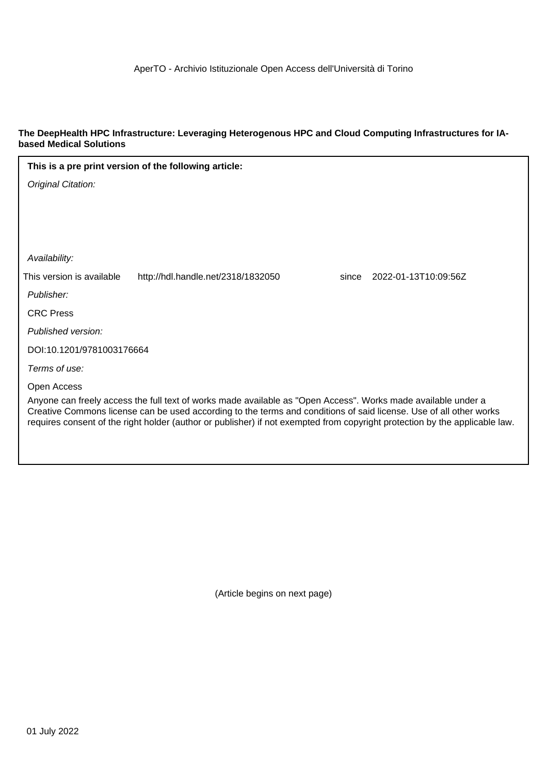#### **The DeepHealth HPC Infrastructure: Leveraging Heterogenous HPC and Cloud Computing Infrastructures for IAbased Medical Solutions**

| This is a pre print version of the following article:                                                                                                                                                                                                                                                                                                              |
|--------------------------------------------------------------------------------------------------------------------------------------------------------------------------------------------------------------------------------------------------------------------------------------------------------------------------------------------------------------------|
| Original Citation:                                                                                                                                                                                                                                                                                                                                                 |
|                                                                                                                                                                                                                                                                                                                                                                    |
|                                                                                                                                                                                                                                                                                                                                                                    |
|                                                                                                                                                                                                                                                                                                                                                                    |
| Availability:                                                                                                                                                                                                                                                                                                                                                      |
| This version is available<br>http://hdl.handle.net/2318/1832050<br>2022-01-13T10:09:56Z<br>since                                                                                                                                                                                                                                                                   |
| Publisher:                                                                                                                                                                                                                                                                                                                                                         |
| <b>CRC Press</b>                                                                                                                                                                                                                                                                                                                                                   |
| Published version:                                                                                                                                                                                                                                                                                                                                                 |
| DOI:10.1201/9781003176664                                                                                                                                                                                                                                                                                                                                          |
| Terms of use:                                                                                                                                                                                                                                                                                                                                                      |
| Open Access                                                                                                                                                                                                                                                                                                                                                        |
| Anyone can freely access the full text of works made available as "Open Access". Works made available under a<br>Creative Commons license can be used according to the terms and conditions of said license. Use of all other works<br>requires consent of the right holder (author or publisher) if not exempted from copyright protection by the applicable law. |

(Article begins on next page)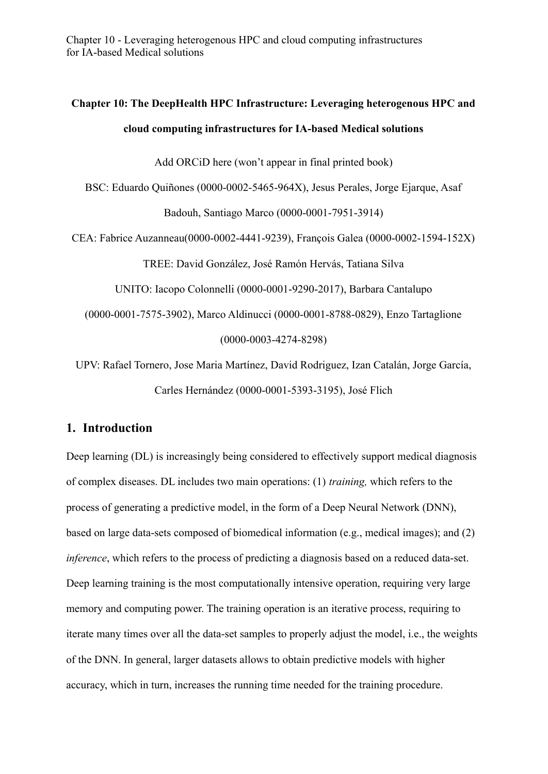# **Chapter 10: The DeepHealth HPC Infrastructure: Leveraging heterogenous HPC and cloud computing infrastructures for IA-based Medical solutions**

Add ORCiD here (won't appear in final printed book)

BSC: Eduardo Quiñones (0000-0002-5465-964X), Jesus Perales, Jorge Ejarque, Asaf

Badouh, Santiago Marco (0000-0001-7951-3914)

CEA: Fabrice Auzanneau(0000-0002-4441-9239), François Galea (0000-0002-1594-152X)

TREE: David González, José Ramón Hervás, Tatiana Silva

UNITO: Iacopo Colonnelli (0000-0001-9290-2017), Barbara Cantalupo

(0000-0001-7575-3902), Marco Aldinucci (0000-0001-8788-0829), Enzo Tartaglione (0000-0003-4274-8298)

UPV: Rafael Tornero, Jose Maria Martínez, David Rodriguez, Izan Catalán, Jorge García, Carles Hernández (0000-0001-5393-3195), José Flich

# **1. Introduction**

Deep learning (DL) is increasingly being considered to effectively support medical diagnosis of complex diseases. DL includes two main operations: (1) *training,* which refers to the process of generating a predictive model, in the form of a Deep Neural Network (DNN), based on large data-sets composed of biomedical information (e.g., medical images); and (2) *inference*, which refers to the process of predicting a diagnosis based on a reduced data-set. Deep learning training is the most computationally intensive operation, requiring very large memory and computing power. The training operation is an iterative process, requiring to iterate many times over all the data-set samples to properly adjust the model, i.e., the weights of the DNN. In general, larger datasets allows to obtain predictive models with higher accuracy, which in turn, increases the running time needed for the training procedure.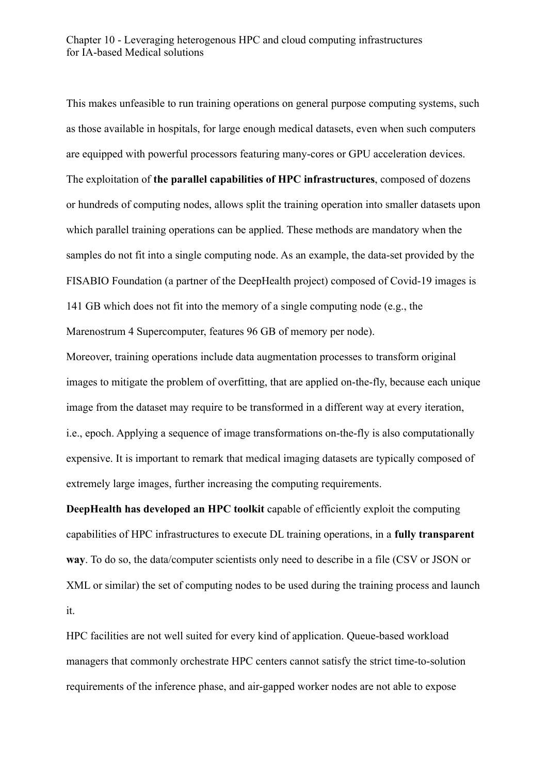This makes unfeasible to run training operations on general purpose computing systems, such as those available in hospitals, for large enough medical datasets, even when such computers are equipped with powerful processors featuring many-cores or GPU acceleration devices. The exploitation of **the parallel capabilities of HPC infrastructures**, composed of dozens or hundreds of computing nodes, allows split the training operation into smaller datasets upon which parallel training operations can be applied. These methods are mandatory when the samples do not fit into a single computing node. As an example, the data-set provided by the FISABIO Foundation (a partner of the DeepHealth project) composed of Covid-19 images is 141 GB which does not fit into the memory of a single computing node (e.g., the Marenostrum 4 Supercomputer, features 96 GB of memory per node).

Moreover, training operations include data augmentation processes to transform original images to mitigate the problem of overfitting, that are applied on-the-fly, because each unique image from the dataset may require to be transformed in a different way at every iteration, i.e., epoch. Applying a sequence of image transformations on-the-fly is also computationally expensive. It is important to remark that medical imaging datasets are typically composed of extremely large images, further increasing the computing requirements.

**DeepHealth has developed an HPC toolkit** capable of efficiently exploit the computing capabilities of HPC infrastructures to execute DL training operations, in a **fully transparent way**. To do so, the data/computer scientists only need to describe in a file (CSV or JSON or XML or similar) the set of computing nodes to be used during the training process and launch it.

HPC facilities are not well suited for every kind of application. Queue-based workload managers that commonly orchestrate HPC centers cannot satisfy the strict time-to-solution requirements of the inference phase, and air-gapped worker nodes are not able to expose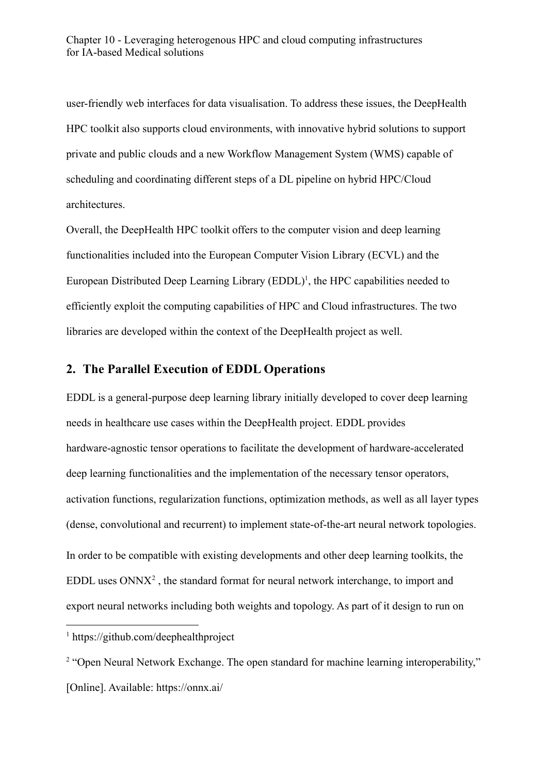user-friendly web interfaces for data visualisation. To address these issues, the DeepHealth HPC toolkit also supports cloud environments, with innovative hybrid solutions to support private and public clouds and a new Workflow Management System (WMS) capable of scheduling and coordinating different steps of a DL pipeline on hybrid HPC/Cloud architectures.

Overall, the DeepHealth HPC toolkit offers to the computer vision and deep learning functionalities included into the European Computer Vision Library (ECVL) and the European Distributed Deep Learning Library  $(EDDL)^1$ , the HPC capabilities needed to efficiently exploit the computing capabilities of HPC and Cloud infrastructures. The two libraries are developed within the context of the DeepHealth project as well.

# **2. The Parallel Execution of EDDL Operations**

EDDL is a general-purpose deep learning library initially developed to cover deep learning needs in healthcare use cases within the DeepHealth project. EDDL provides hardware-agnostic tensor operations to facilitate the development of hardware-accelerated deep learning functionalities and the implementation of the necessary tensor operators, activation functions, regularization functions, optimization methods, as well as all layer types (dense, convolutional and recurrent) to implement state-of-the-art neural network topologies. In order to be compatible with existing developments and other deep learning toolkits, the  $EDDL$  uses  $ONNX<sup>2</sup>$ , the standard format for neural network interchange, to import and export neural networks including both weights and topology. As part of it design to run on

<sup>1</sup> https://github.com/deephealthproject

<sup>&</sup>lt;sup>2</sup> "Open Neural Network Exchange. The open standard for machine learning interoperability," [Online]. Available: https://onnx.ai/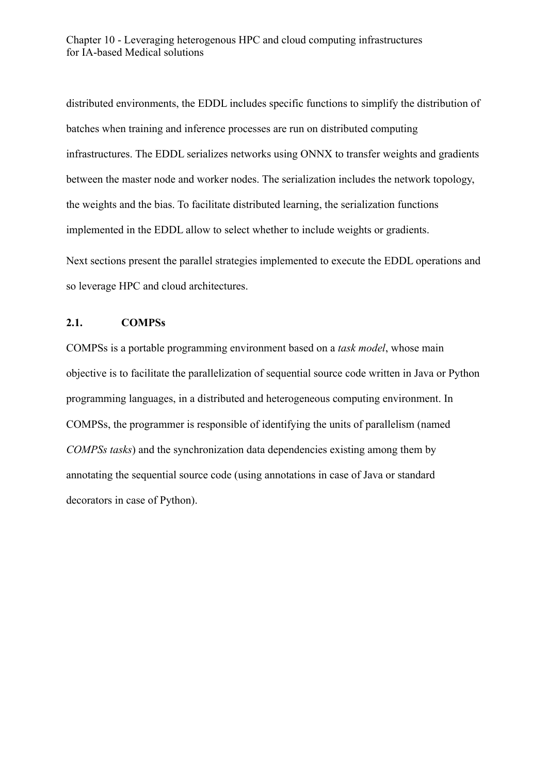distributed environments, the EDDL includes specific functions to simplify the distribution of batches when training and inference processes are run on distributed computing infrastructures. The EDDL serializes networks using ONNX to transfer weights and gradients between the master node and worker nodes. The serialization includes the network topology, the weights and the bias. To facilitate distributed learning, the serialization functions implemented in the EDDL allow to select whether to include weights or gradients. Next sections present the parallel strategies implemented to execute the EDDL operations and so leverage HPC and cloud architectures.

#### **2.1. COMPSs**

COMPSs is a portable programming environment based on a *task model*, whose main objective is to facilitate the parallelization of sequential source code written in Java or Python programming languages, in a distributed and heterogeneous computing environment. In COMPSs, the programmer is responsible of identifying the units of parallelism (named *COMPSs tasks*) and the synchronization data dependencies existing among them by annotating the sequential source code (using annotations in case of Java or standard decorators in case of Python).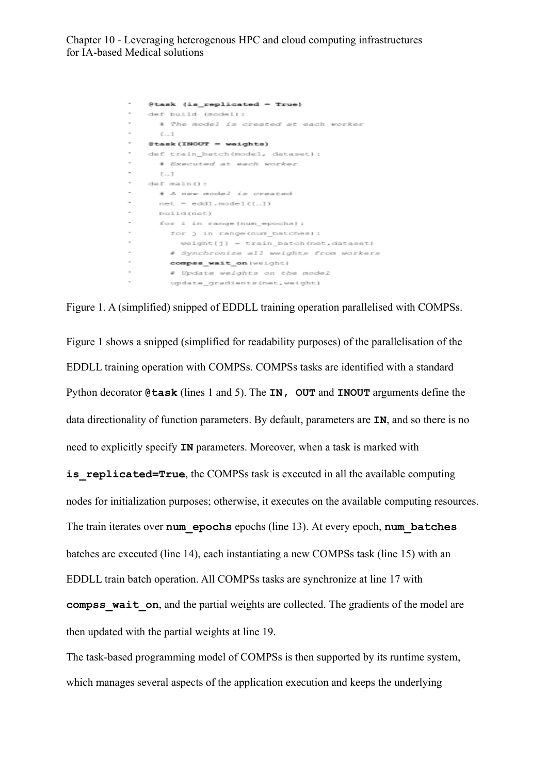```
{\small \texttt{Stask (is\_replicated = True)} }\overline{\phantom{a}}def build (model):
\sim# The model is created at each worker
      0 - 1\thetatask (INOUT = weights)
    def train_batch(model, dataset):
      + Executed at each worker
\sim\Gamma \sim 1def main():
      + A new model is created
\simnet = eddl.nodel([...])build (net)
      for i in range (num_epocha) :
        for j in range (num batches) ;
           \texttt{weight[j]} = \texttt{train\_batch}(\texttt{net}, \texttt{distance})# Synchronize all weights from workers
        compss_wait_on(weight)
        # Update weights on the model
         update_gradients(net,weight)
```
Figure 1. A (simplified) snipped of EDDLL training operation parallelised with COMPSs.

Figure 1 shows a snipped (simplified for readability purposes) of the parallelisation of the EDDLL training operation with COMPSs. COMPSs tasks are identified with a standard Python decorator **@task** (lines 1 and 5). The **IN, OUT** and **INOUT** arguments define the data directionality of function parameters. By default, parameters are **IN**, and so there is no need to explicitly specify **IN** parameters. Moreover, when a task is marked with **is replicated=True**, the COMPSs task is executed in all the available computing nodes for initialization purposes; otherwise, it executes on the available computing resources. The train iterates over **num\_epochs** epochs (line 13). At every epoch, **num\_batches** batches are executed (line 14), each instantiating a new COMPSs task (line 15) with an EDDLL train batch operation. All COMPSs tasks are synchronize at line 17 with **compss** wait on, and the partial weights are collected. The gradients of the model are then updated with the partial weights at line 19.

The task-based programming model of COMPSs is then supported by its runtime system, which manages several aspects of the application execution and keeps the underlying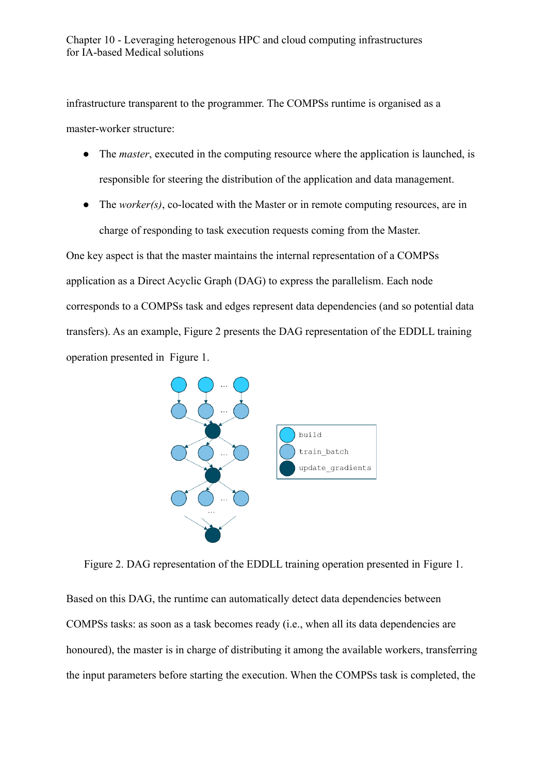infrastructure transparent to the programmer. The COMPSs runtime is organised as a master-worker structure:

- The *master*, executed in the computing resource where the application is launched, is responsible for steering the distribution of the application and data management.
- The *worker(s)*, co-located with the Master or in remote computing resources, are in charge of responding to task execution requests coming from the Master.

One key aspect is that the master maintains the internal representation of a COMPSs application as a Direct Acyclic Graph (DAG) to express the parallelism. Each node corresponds to a COMPSs task and edges represent data dependencies (and so potential data transfers). As an example, Figure 2 presents the DAG representation of the EDDLL training operation presented in Figure 1.



Figure 2. DAG representation of the EDDLL training operation presented in Figure 1.

Based on this DAG, the runtime can automatically detect data dependencies between COMPSs tasks: as soon as a task becomes ready (i.e., when all its data dependencies are honoured), the master is in charge of distributing it among the available workers, transferring the input parameters before starting the execution. When the COMPSs task is completed, the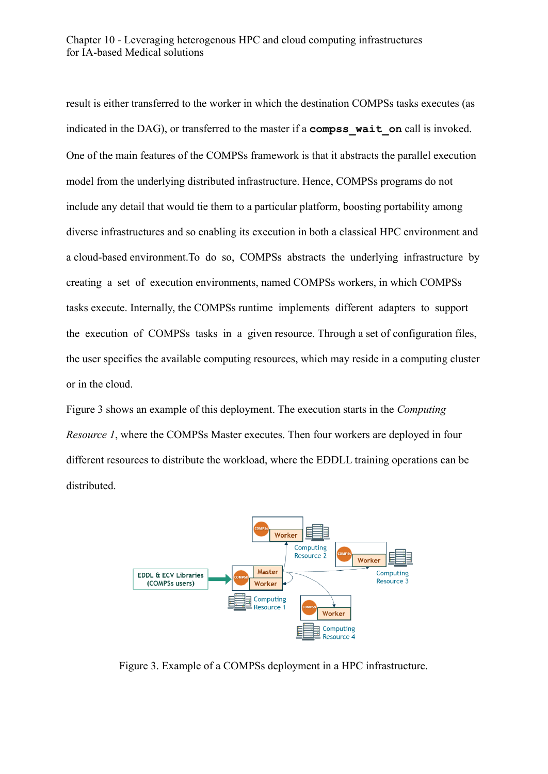result is either transferred to the worker in which the destination COMPSs tasks executes (as indicated in the DAG), or transferred to the master if a **compss\_wait\_on** call is invoked. One of the main features of the COMPSs framework is that it abstracts the parallel execution model from the underlying distributed infrastructure. Hence, COMPSs programs do not include any detail that would tie them to a particular platform, boosting portability among diverse infrastructures and so enabling its execution in both a classical HPC environment and a cloud-based environment.To do so, COMPSs abstracts the underlying infrastructure by creating a set of execution environments, named COMPSs workers, in which COMPSs tasks execute. Internally, the COMPSs runtime implements different adapters to support the execution of COMPSs tasks in a given resource. Through a set of configuration files, the user specifies the available computing resources, which may reside in a computing cluster or in the cloud.

Figure 3 shows an example of this deployment. The execution starts in the *Computing Resource 1*, where the COMPSs Master executes. Then four workers are deployed in four different resources to distribute the workload, where the EDDLL training operations can be distributed.



Figure 3. Example of a COMPSs deployment in a HPC infrastructure.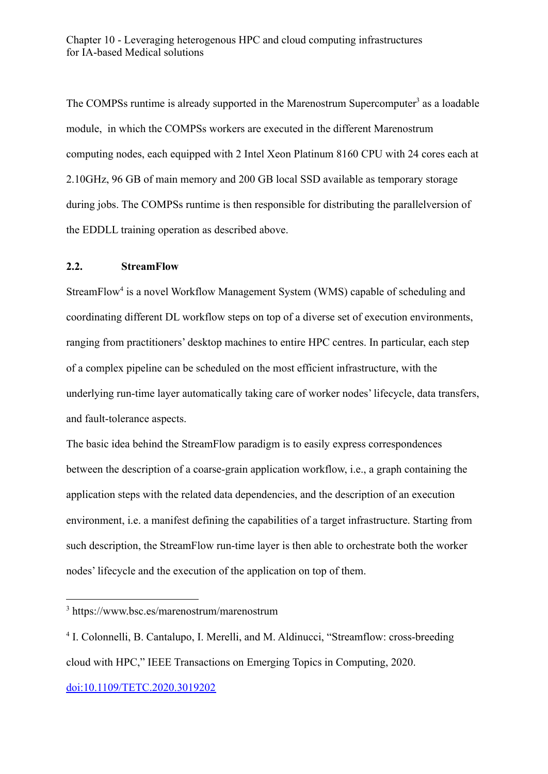The COMPSs runtime is already supported in the Marenostrum Supercomputer<sup>3</sup> as a loadable module, in which the COMPSs workers are executed in the different Marenostrum computing nodes, each equipped with 2 Intel Xeon Platinum 8160 CPU with 24 cores each at 2.10GHz, 96 GB of main memory and 200 GB local SSD available as temporary storage during jobs. The COMPSs runtime is then responsible for distributing the parallelversion of the EDDLL training operation as described above.

#### **2.2. StreamFlow**

StreamFlow<sup>4</sup> is a novel Workflow Management System (WMS) capable of scheduling and coordinating different DL workflow steps on top of a diverse set of execution environments, ranging from practitioners' desktop machines to entire HPC centres. In particular, each step of a complex pipeline can be scheduled on the most efficient infrastructure, with the underlying run-time layer automatically taking care of worker nodes' lifecycle, data transfers, and fault-tolerance aspects.

The basic idea behind the StreamFlow paradigm is to easily express correspondences between the description of a coarse-grain application workflow, i.e., a graph containing the application steps with the related data dependencies, and the description of an execution environment, i.e. a manifest defining the capabilities of a target infrastructure. Starting from such description, the StreamFlow run-time layer is then able to orchestrate both the worker nodes' lifecycle and the execution of the application on top of them.

<sup>3</sup> https://www.bsc.es/marenostrum/marenostrum

<sup>&</sup>lt;sup>4</sup> I. Colonnelli, B. Cantalupo, I. Merelli, and M. Aldinucci, "Streamflow: cross-breeding cloud with HPC," IEEE Transactions on Emerging Topics in Computing, 2020.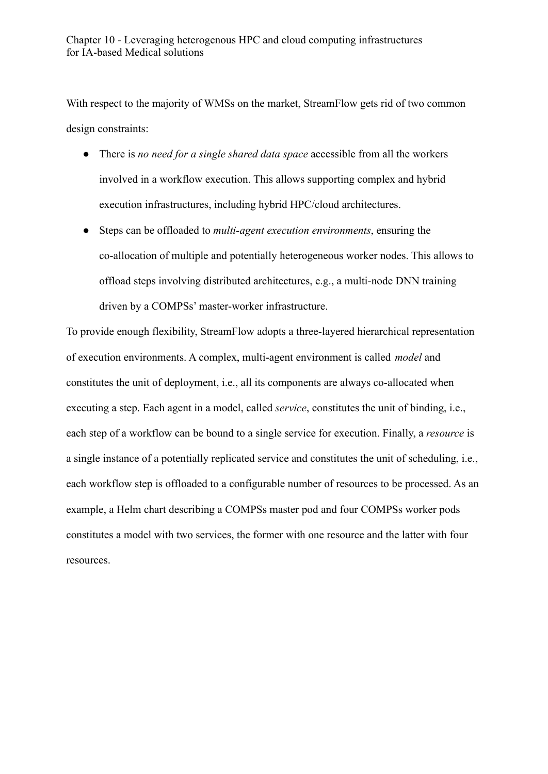With respect to the majority of WMSs on the market, StreamFlow gets rid of two common design constraints:

- There is *no need for a single shared data space* accessible from all the workers involved in a workflow execution. This allows supporting complex and hybrid execution infrastructures, including hybrid HPC/cloud architectures.
- Steps can be offloaded to *multi-agent execution environments*, ensuring the co-allocation of multiple and potentially heterogeneous worker nodes. This allows to offload steps involving distributed architectures, e.g., a multi-node DNN training driven by a COMPSs' master-worker infrastructure.

To provide enough flexibility, StreamFlow adopts a three-layered hierarchical representation of execution environments. A complex, multi-agent environment is called *model* and constitutes the unit of deployment, i.e., all its components are always co-allocated when executing a step. Each agent in a model, called *service*, constitutes the unit of binding, i.e., each step of a workflow can be bound to a single service for execution. Finally, a *resource* is a single instance of a potentially replicated service and constitutes the unit of scheduling, i.e., each workflow step is offloaded to a configurable number of resources to be processed. As an example, a Helm chart describing a COMPSs master pod and four COMPSs worker pods constitutes a model with two services, the former with one resource and the latter with four resources.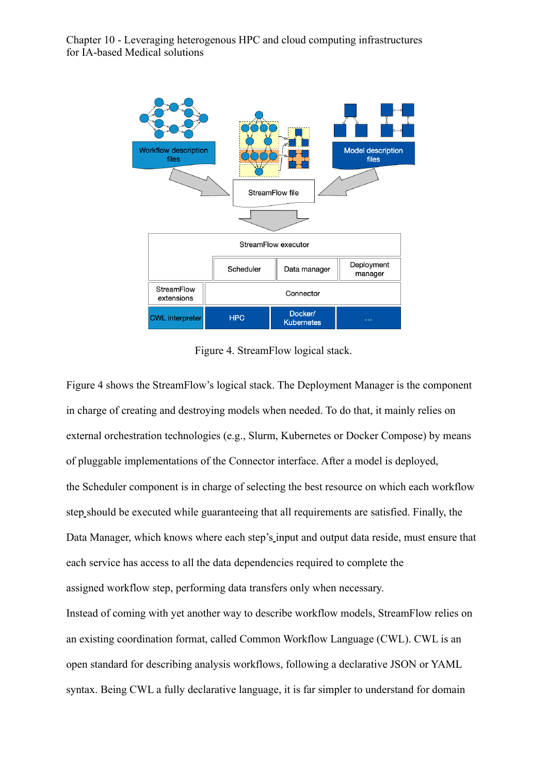

Figure 4. StreamFlow logical stack.

Figure 4 shows the StreamFlow's logical stack. The Deployment Manager is the component in charge of creating and destroying models when needed. To do that, it mainly relies on external orchestration technologies (e.g., Slurm, Kubernetes or Docker Compose) by means of pluggable implementations of the Connector interface. After a model is deployed, the Scheduler component is in charge of selecting the best resource on which each workflow step should be executed while guaranteeing that all requirements are satisfied. Finally, the Data Manager, which knows where each step's input and output data reside, must ensure that each service has access to all the data dependencies required to complete the assigned workflow step, performing data transfers only when necessary.

Instead of coming with yet another way to describe workflow models, StreamFlow relies on an existing coordination format, called Common Workflow Language (CWL). CWL is an open standard for describing analysis workflows, following a declarative JSON or YAML syntax. Being CWL a fully declarative language, it is far simpler to understand for domain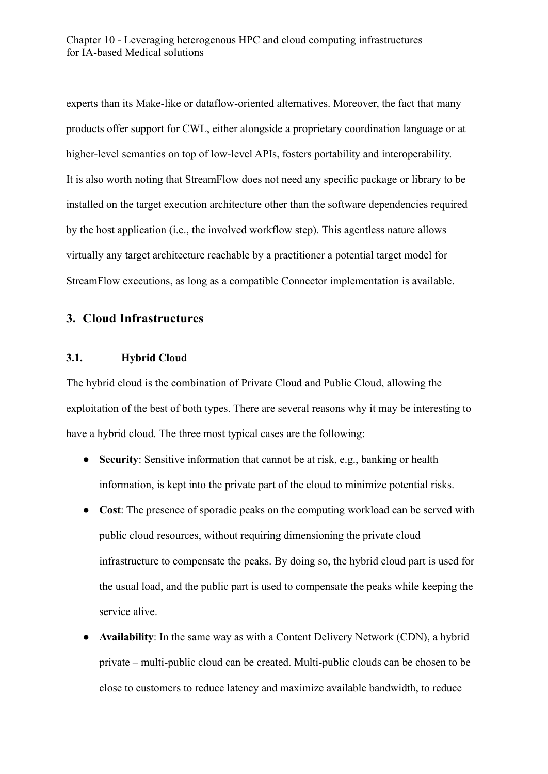experts than its Make-like or dataflow-oriented alternatives. Moreover, the fact that many products offer support for CWL, either alongside a proprietary coordination language or at higher-level semantics on top of low-level APIs, fosters portability and interoperability. It is also worth noting that StreamFlow does not need any specific package or library to be installed on the target execution architecture other than the software dependencies required by the host application (i.e., the involved workflow step). This agentless nature allows virtually any target architecture reachable by a practitioner a potential target model for StreamFlow executions, as long as a compatible Connector implementation is available.

## **3. Cloud Infrastructures**

#### **3.1. Hybrid Cloud**

The hybrid cloud is the combination of Private Cloud and Public Cloud, allowing the exploitation of the best of both types. There are several reasons why it may be interesting to have a hybrid cloud. The three most typical cases are the following:

- **● Security**: Sensitive information that cannot be at risk, e.g., banking or health information, is kept into the private part of the cloud to minimize potential risks.
- **● Cost**: The presence of sporadic peaks on the computing workload can be served with public cloud resources, without requiring dimensioning the private cloud infrastructure to compensate the peaks. By doing so, the hybrid cloud part is used for the usual load, and the public part is used to compensate the peaks while keeping the service alive.
- Availability: In the same way as with a Content Delivery Network (CDN), a hybrid private – multi-public cloud can be created. Multi-public clouds can be chosen to be close to customers to reduce latency and maximize available bandwidth, to reduce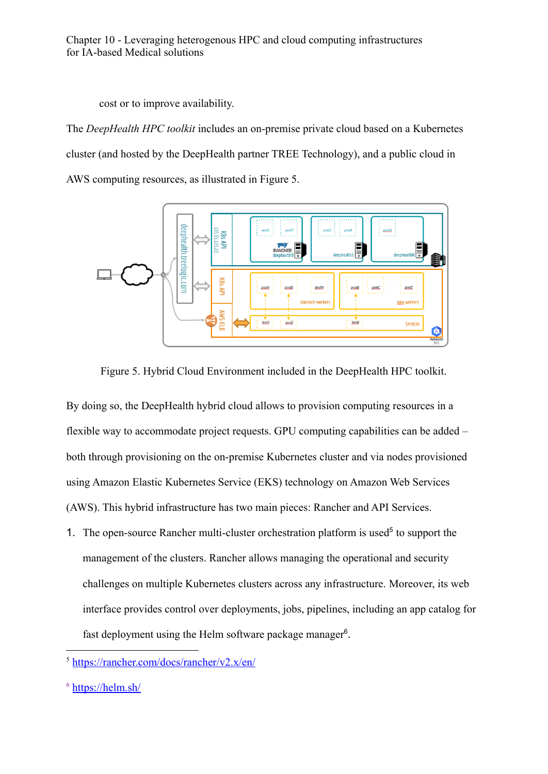cost or to improve availability.

The *DeepHealth HPC toolkit* includes an on-premise private cloud based on a Kubernetes cluster (and hosted by the DeepHealth partner TREE Technology), and a public cloud in AWS computing resources, as illustrated in Figure 5.





By doing so, the DeepHealth hybrid cloud allows to provision computing resources in a flexible way to accommodate project requests. GPU computing capabilities can be added – both through provisioning on the on-premise Kubernetes cluster and via nodes provisioned using Amazon Elastic Kubernetes Service (EKS) technology on Amazon Web Services (AWS). This hybrid infrastructure has two main pieces: Rancher and API Services.

1. The open-source Rancher multi-cluster orchestration platform is used<sup>5</sup> to support the management of the clusters. Rancher allows managing the operational and security challenges on multiple Kubernetes clusters across any infrastructure. Moreover, its web interface provides control over deployments, jobs, pipelines, including an app catalog for fast deployment using the Helm software package manager<sup>6</sup>.

 $5 \text{ https://rancher.com/docs/rancher/v2.x/en/}$  $5 \text{ https://rancher.com/docs/rancher/v2.x/en/}$  $5 \text{ https://rancher.com/docs/rancher/v2.x/en/}$ 

 $6$  [https://helm.sh/](https://helm.sh/%22%20/)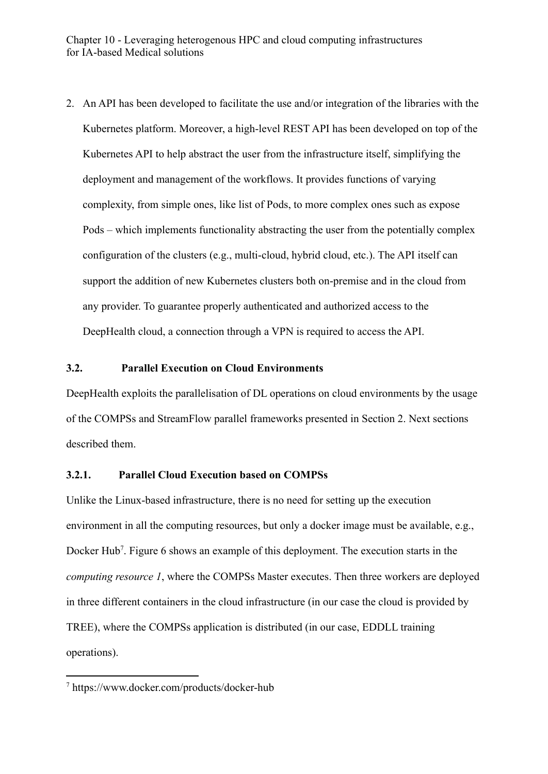2. An API has been developed to facilitate the use and/or integration of the libraries with the Kubernetes platform. Moreover, a high-level REST API has been developed on top of the Kubernetes API to help abstract the user from the infrastructure itself, simplifying the deployment and management of the workflows. It provides functions of varying complexity, from simple ones, like list of Pods, to more complex ones such as expose Pods – which implements functionality abstracting the user from the potentially complex configuration of the clusters (e.g., multi-cloud, hybrid cloud, etc.). The API itself can support the addition of new Kubernetes clusters both on-premise and in the cloud from any provider. To guarantee properly authenticated and authorized access to the DeepHealth cloud, a connection through a VPN is required to access the API.

#### **3.2. Parallel Execution on Cloud Environments**

DeepHealth exploits the parallelisation of DL operations on cloud environments by the usage of the COMPSs and StreamFlow parallel frameworks presented in Section 2. Next sections described them.

#### **3.2.1. Parallel Cloud Execution based on COMPSs**

Unlike the Linux-based infrastructure, there is no need for setting up the execution environment in all the computing resources, but only a docker image must be available, e.g., Docker Hub<sup>7</sup>. Figure 6 shows an example of this deployment. The execution starts in the *computing resource 1*, where the COMPSs Master executes. Then three workers are deployed in three different containers in the cloud infrastructure (in our case the cloud is provided by TREE), where the COMPSs application is distributed (in our case, EDDLL training operations).

<sup>7</sup> https://www.docker.com/products/docker-hub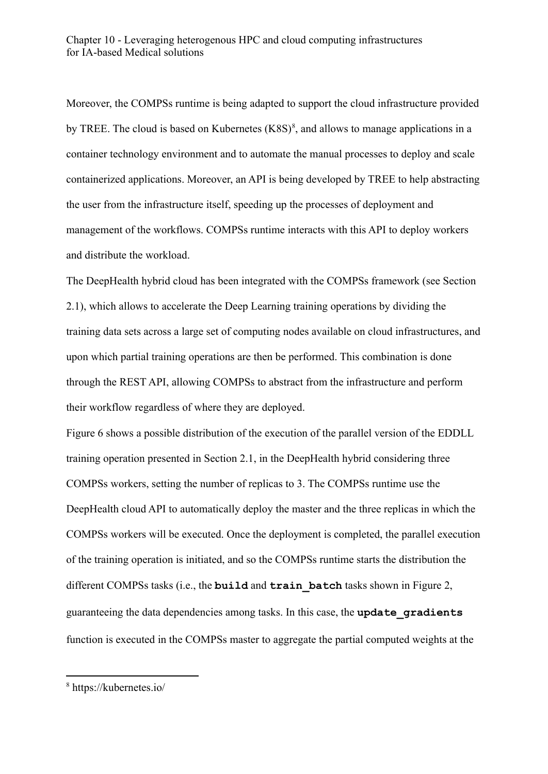Moreover, the COMPSs runtime is being adapted to support the cloud infrastructure provided by TREE. The cloud is based on Kubernetes  $(K8S)^8$ , and allows to manage applications in a container technology environment and to automate the manual processes to deploy and scale containerized applications. Moreover, an API is being developed by TREE to help abstracting the user from the infrastructure itself, speeding up the processes of deployment and management of the workflows. COMPSs runtime interacts with this API to deploy workers and distribute the workload.

The DeepHealth hybrid cloud has been integrated with the COMPSs framework (see Section 2.1), which allows to accelerate the Deep Learning training operations by dividing the training data sets across a large set of computing nodes available on cloud infrastructures, and upon which partial training operations are then be performed. This combination is done through the REST API, allowing COMPSs to abstract from the infrastructure and perform their workflow regardless of where they are deployed.

Figure 6 shows a possible distribution of the execution of the parallel version of the EDDLL training operation presented in Section 2.1, in the DeepHealth hybrid considering three COMPSs workers, setting the number of replicas to 3. The COMPSs runtime use the DeepHealth cloud API to automatically deploy the master and the three replicas in which the COMPSs workers will be executed. Once the deployment is completed, the parallel execution of the training operation is initiated, and so the COMPSs runtime starts the distribution the different COMPSs tasks (i.e., the **build** and **train\_batch** tasks shown in Figure 2, guaranteeing the data dependencies among tasks. In this case, the **update\_gradients** function is executed in the COMPSs master to aggregate the partial computed weights at the

<sup>8</sup> https://kubernetes.io/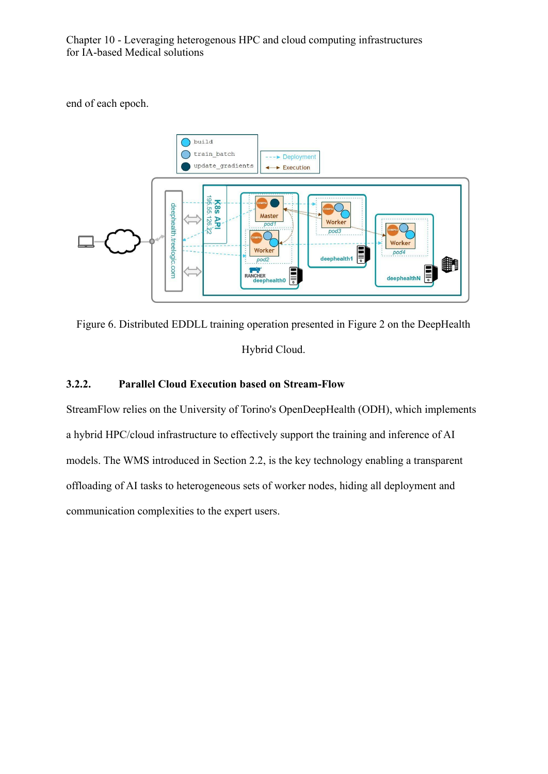end of each epoch.



Figure 6. Distributed EDDLL training operation presented in Figure 2 on the DeepHealth Hybrid Cloud.

#### **3.2.2. Parallel Cloud Execution based on Stream-Flow**

StreamFlow relies on the University of Torino's OpenDeepHealth (ODH), which implements a hybrid HPC/cloud infrastructure to effectively support the training and inference of AI models. The WMS introduced in Section 2.2, is the key technology enabling a transparent offloading of AI tasks to heterogeneous sets of worker nodes, hiding all deployment and communication complexities to the expert users.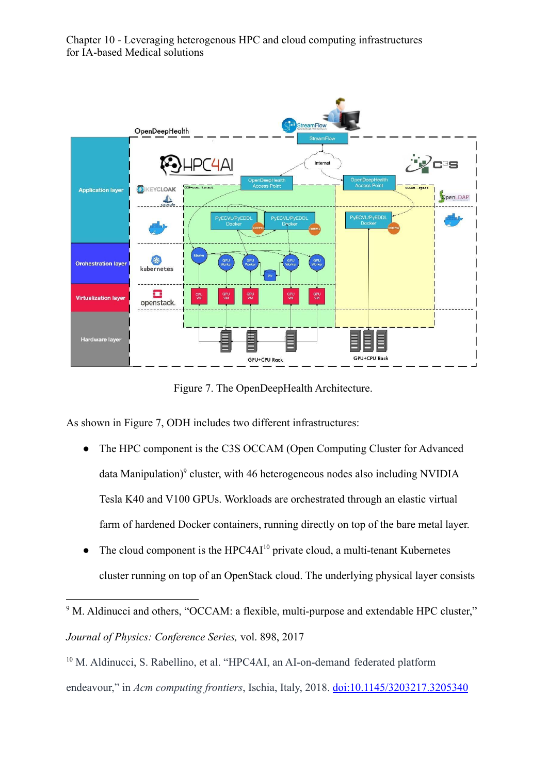

Figure 7. The OpenDeepHealth Architecture.

As shown in Figure 7, ODH includes two different infrastructures:

- The HPC component is the C3S OCCAM (Open Computing Cluster for Advanced data Manipulation) $9$  cluster, with 46 heterogeneous nodes also including NVIDIA Tesla K40 and V100 GPUs. Workloads are orchestrated through an elastic virtual farm of hardened Docker containers, running directly on top of the bare metal layer.
- The cloud component is the HPC4AI<sup>10</sup> private cloud, a multi-tenant Kubernetes cluster running on top of an OpenStack cloud. The underlying physical layer consists

<sup>&</sup>lt;sup>9</sup> M. Aldinucci and others, "OCCAM: a flexible, multi-purpose and extendable HPC cluster," *Journal of Physics: Conference Series,* vol. 898, 2017

<sup>&</sup>lt;sup>10</sup> M. Aldinucci, S. Rabellino, et al. "HPC4AI, an AI-on-demand federated platform endeavour," in *Acm computing frontiers*, Ischia, Italy, 2018. [doi:10.1145/3203217.3205340](http://dx.doi.org/10.1145/3203217.3205340)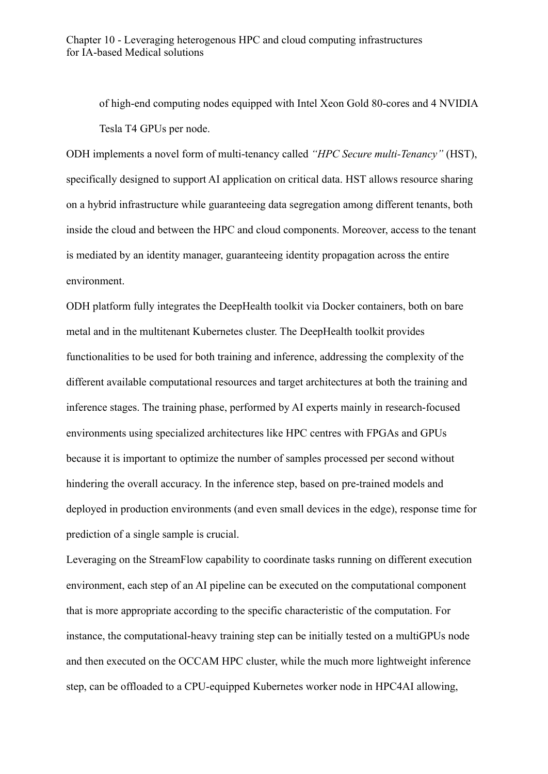of high-end computing nodes equipped with Intel Xeon Gold 80-cores and 4 NVIDIA Tesla T4 GPUs per node.

ODH implements a novel form of multi-tenancy called *"HPC Secure multi-Tenancy"* (HST), specifically designed to support AI application on critical data. HST allows resource sharing on a hybrid infrastructure while guaranteeing data segregation among different tenants, both inside the cloud and between the HPC and cloud components. Moreover, access to the tenant is mediated by an identity manager, guaranteeing identity propagation across the entire environment.

ODH platform fully integrates the DeepHealth toolkit via Docker containers, both on bare metal and in the multitenant Kubernetes cluster. The DeepHealth toolkit provides functionalities to be used for both training and inference, addressing the complexity of the different available computational resources and target architectures at both the training and inference stages. The training phase, performed by AI experts mainly in research-focused environments using specialized architectures like HPC centres with FPGAs and GPUs because it is important to optimize the number of samples processed per second without hindering the overall accuracy. In the inference step, based on pre-trained models and deployed in production environments (and even small devices in the edge), response time for prediction of a single sample is crucial.

Leveraging on the StreamFlow capability to coordinate tasks running on different execution environment, each step of an AI pipeline can be executed on the computational component that is more appropriate according to the specific characteristic of the computation. For instance, the computational-heavy training step can be initially tested on a multiGPUs node and then executed on the OCCAM HPC cluster, while the much more lightweight inference step, can be offloaded to a CPU-equipped Kubernetes worker node in HPC4AI allowing,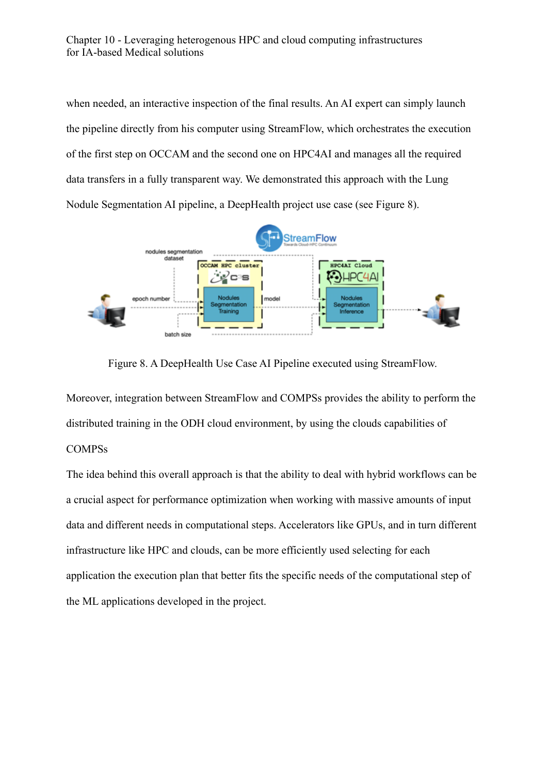when needed, an interactive inspection of the final results. An AI expert can simply launch the pipeline directly from his computer using StreamFlow, which orchestrates the execution of the first step on OCCAM and the second one on HPC4AI and manages all the required data transfers in a fully transparent way. We demonstrated this approach with the Lung Nodule Segmentation AI pipeline, a DeepHealth project use case (see Figure 8).



Figure 8. A DeepHealth Use Case AI Pipeline executed using StreamFlow.

Moreover, integration between StreamFlow and COMPSs provides the ability to perform the distributed training in the ODH cloud environment, by using the clouds capabilities of COMPSs

The idea behind this overall approach is that the ability to deal with hybrid workflows can be a crucial aspect for performance optimization when working with massive amounts of input data and different needs in computational steps. Accelerators like GPUs, and in turn different infrastructure like HPC and clouds, can be more efficiently used selecting for each application the execution plan that better fits the specific needs of the computational step of the ML applications developed in the project.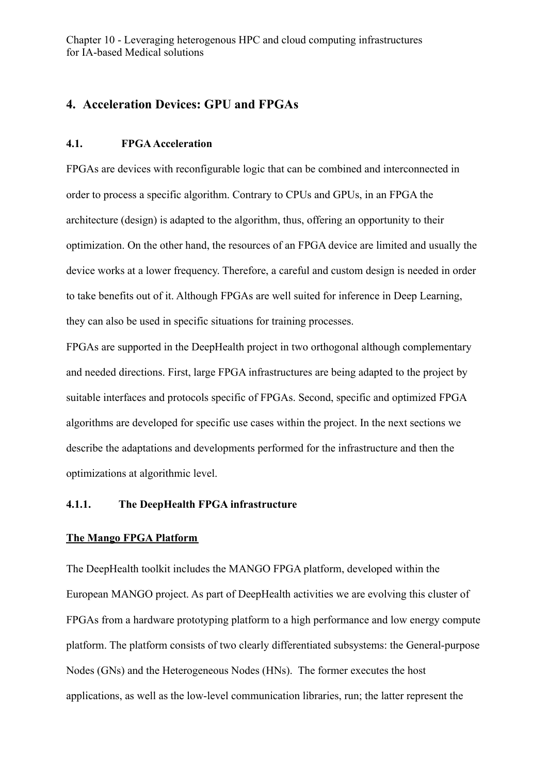# **4. Acceleration Devices: GPU and FPGAs**

#### **4.1. FPGAAcceleration**

FPGAs are devices with reconfigurable logic that can be combined and interconnected in order to process a specific algorithm. Contrary to CPUs and GPUs, in an FPGA the architecture (design) is adapted to the algorithm, thus, offering an opportunity to their optimization. On the other hand, the resources of an FPGA device are limited and usually the device works at a lower frequency. Therefore, a careful and custom design is needed in order to take benefits out of it. Although FPGAs are well suited for inference in Deep Learning, they can also be used in specific situations for training processes.

FPGAs are supported in the DeepHealth project in two orthogonal although complementary and needed directions. First, large FPGA infrastructures are being adapted to the project by suitable interfaces and protocols specific of FPGAs. Second, specific and optimized FPGA algorithms are developed for specific use cases within the project. In the next sections we describe the adaptations and developments performed for the infrastructure and then the optimizations at algorithmic level.

#### **4.1.1. The DeepHealth FPGA infrastructure**

#### **The Mango FPGA Platform**

The DeepHealth toolkit includes the MANGO FPGA platform, developed within the European MANGO project. As part of DeepHealth activities we are evolving this cluster of FPGAs from a hardware prototyping platform to a high performance and low energy compute platform. The platform consists of two clearly differentiated subsystems: the General-purpose Nodes (GNs) and the Heterogeneous Nodes (HNs). The former executes the host applications, as well as the low-level communication libraries, run; the latter represent the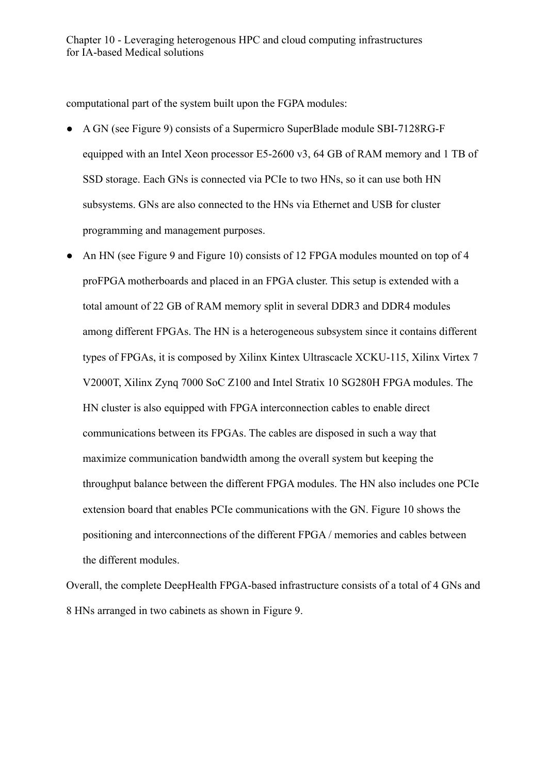computational part of the system built upon the FGPA modules:

- A GN (see Figure 9) consists of a Supermicro SuperBlade module SBI-7128RG-F equipped with an Intel Xeon processor E5-2600 v3, 64 GB of RAM memory and 1 TB of SSD storage. Each GNs is connected via PCIe to two HNs, so it can use both HN subsystems. GNs are also connected to the HNs via Ethernet and USB for cluster programming and management purposes.
- An HN (see Figure 9 and Figure 10) consists of 12 FPGA modules mounted on top of 4 proFPGA motherboards and placed in an FPGA cluster. This setup is extended with a total amount of 22 GB of RAM memory split in several DDR3 and DDR4 modules among different FPGAs. The HN is a heterogeneous subsystem since it contains different types of FPGAs, it is composed by Xilinx Kintex Ultrascacle XCKU-115, Xilinx Virtex 7 V2000T, Xilinx Zynq 7000 SoC Z100 and Intel Stratix 10 SG280H FPGA modules. The HN cluster is also equipped with FPGA interconnection cables to enable direct communications between its FPGAs. The cables are disposed in such a way that maximize communication bandwidth among the overall system but keeping the throughput balance between the different FPGA modules. The HN also includes one PCIe extension board that enables PCIe communications with the GN. Figure 10 shows the positioning and interconnections of the different FPGA / memories and cables between the different modules.

Overall, the complete DeepHealth FPGA-based infrastructure consists of a total of 4 GNs and 8 HNs arranged in two cabinets as shown in Figure 9.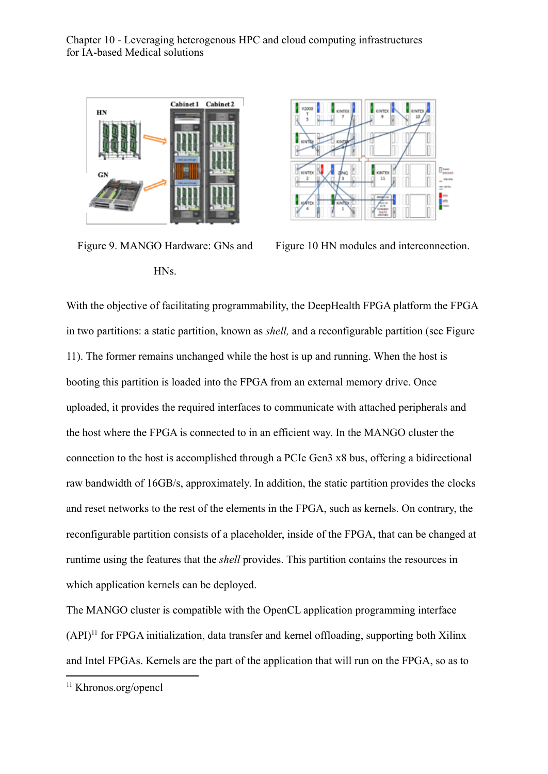

Figure 9. MANGO Hardware: GNs and HNs.



Figure 10 HN modules and interconnection.

With the objective of facilitating programmability, the DeepHealth FPGA platform the FPGA in two partitions: a static partition, known as *shell,* and a reconfigurable partition (see Figure 11). The former remains unchanged while the host is up and running. When the host is booting this partition is loaded into the FPGA from an external memory drive. Once uploaded, it provides the required interfaces to communicate with attached peripherals and the host where the FPGA is connected to in an efficient way. In the MANGO cluster the connection to the host is accomplished through a PCIe Gen3 x8 bus, offering a bidirectional raw bandwidth of 16GB/s, approximately. In addition, the static partition provides the clocks and reset networks to the rest of the elements in the FPGA, such as kernels. On contrary, the reconfigurable partition consists of a placeholder, inside of the FPGA, that can be changed at runtime using the features that the *shell* provides. This partition contains the resources in which application kernels can be deployed.

The MANGO cluster is compatible with the OpenCL application programming interface  $(API)^{11}$  for FPGA initialization, data transfer and kernel offloading, supporting both Xilinx and Intel FPGAs. Kernels are the part of the application that will run on the FPGA, so as to

<sup>11</sup> Khronos.org/opencl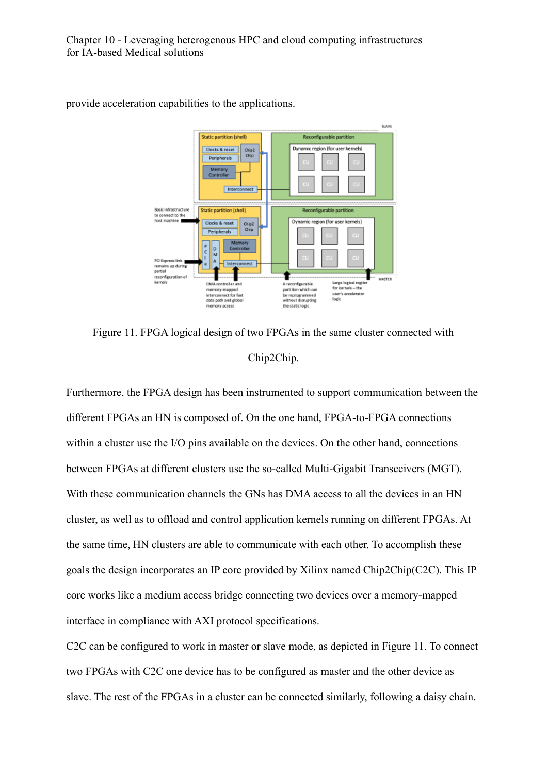

provide acceleration capabilities to the applications.

Figure 11. FPGA logical design of two FPGAs in the same cluster connected with Chip2Chip.

Furthermore, the FPGA design has been instrumented to support communication between the different FPGAs an HN is composed of. On the one hand, FPGA-to-FPGA connections within a cluster use the I/O pins available on the devices. On the other hand, connections between FPGAs at different clusters use the so-called Multi-Gigabit Transceivers (MGT). With these communication channels the GNs has DMA access to all the devices in an HN cluster, as well as to offload and control application kernels running on different FPGAs. At the same time, HN clusters are able to communicate with each other. To accomplish these goals the design incorporates an IP core provided by Xilinx named Chip2Chip(C2C). This IP core works like a medium access bridge connecting two devices over a memory-mapped interface in compliance with AXI protocol specifications.

C2C can be configured to work in master or slave mode, as depicted in Figure 11. To connect two FPGAs with C2C one device has to be configured as master and the other device as slave. The rest of the FPGAs in a cluster can be connected similarly, following a daisy chain.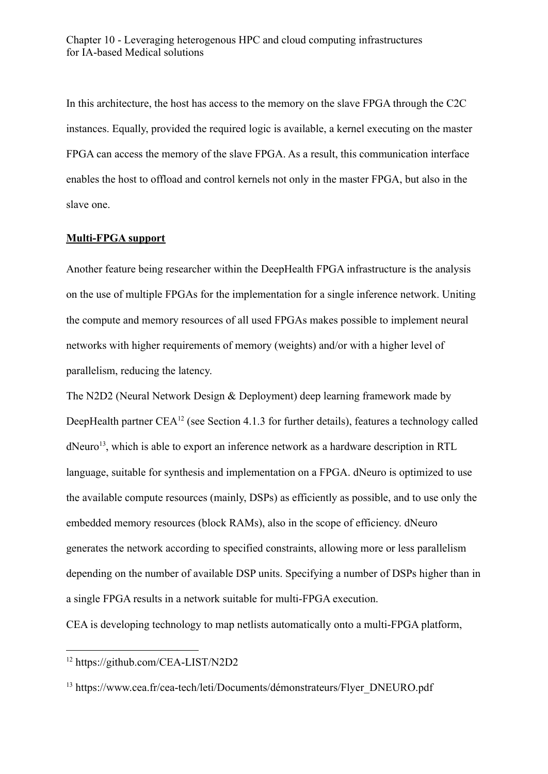In this architecture, the host has access to the memory on the slave FPGA through the C2C instances. Equally, provided the required logic is available, a kernel executing on the master FPGA can access the memory of the slave FPGA. As a result, this communication interface enables the host to offload and control kernels not only in the master FPGA, but also in the slave one.

#### **Multi-FPGA support**

Another feature being researcher within the DeepHealth FPGA infrastructure is the analysis on the use of multiple FPGAs for the implementation for a single inference network. Uniting the compute and memory resources of all used FPGAs makes possible to implement neural networks with higher requirements of memory (weights) and/or with a higher level of parallelism, reducing the latency.

The N2D2 (Neural Network Design & Deployment) deep learning framework made by DeepHealth partner  $CEA^{12}$  (see Section 4.1.3 for further details), features a technology called dNeuro<sup>13</sup>, which is able to export an inference network as a hardware description in RTL language, suitable for synthesis and implementation on a FPGA. dNeuro is optimized to use the available compute resources (mainly, DSPs) as efficiently as possible, and to use only the embedded memory resources (block RAMs), also in the scope of efficiency. dNeuro generates the network according to specified constraints, allowing more or less parallelism depending on the number of available DSP units. Specifying a number of DSPs higher than in a single FPGA results in a network suitable for multi-FPGA execution.

CEA is developing technology to map netlists automatically onto a multi-FPGA platform,

<sup>12</sup> https://github.com/CEA-LIST/N2D2

<sup>&</sup>lt;sup>13</sup> https://www.cea.fr/cea-tech/leti/Documents/démonstrateurs/Flyer\_DNEURO.pdf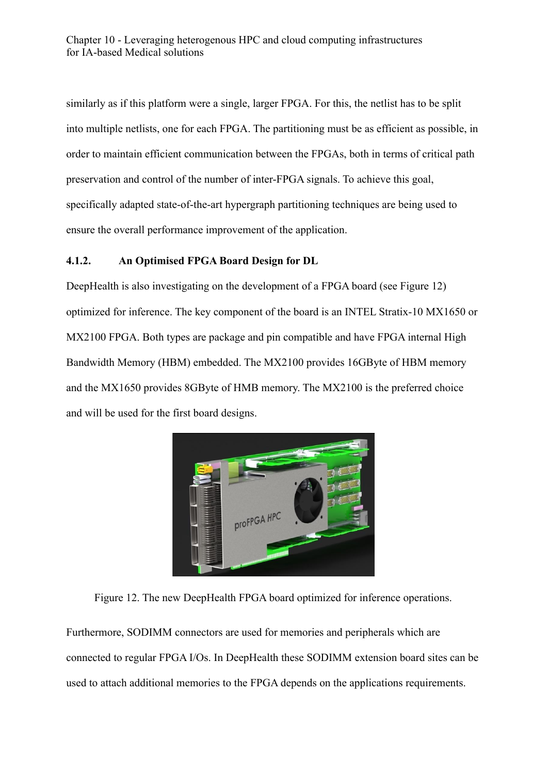similarly as if this platform were a single, larger FPGA. For this, the netlist has to be split into multiple netlists, one for each FPGA. The partitioning must be as efficient as possible, in order to maintain efficient communication between the FPGAs, both in terms of critical path preservation and control of the number of inter-FPGA signals. To achieve this goal, specifically adapted state-of-the-art hypergraph partitioning techniques are being used to ensure the overall performance improvement of the application.

## **4.1.2. An Optimised FPGA Board Design for DL**

DeepHealth is also investigating on the development of a FPGA board (see Figure 12) optimized for inference. The key component of the board is an INTEL Stratix-10 MX1650 or MX2100 FPGA. Both types are package and pin compatible and have FPGA internal High Bandwidth Memory (HBM) embedded. The MX2100 provides 16GByte of HBM memory and the MX1650 provides 8GByte of HMB memory. The MX2100 is the preferred choice and will be used for the first board designs.



Figure 12. The new DeepHealth FPGA board optimized for inference operations.

Furthermore, SODIMM connectors are used for memories and peripherals which are connected to regular FPGA I/Os. In DeepHealth these SODIMM extension board sites can be used to attach additional memories to the FPGA depends on the applications requirements.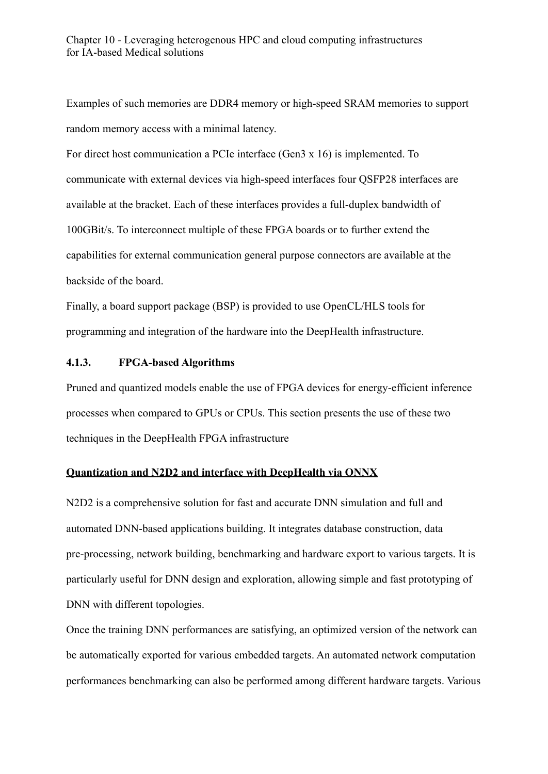Examples of such memories are DDR4 memory or high-speed SRAM memories to support random memory access with a minimal latency.

For direct host communication a PCIe interface (Gen3 x 16) is implemented. To communicate with external devices via high-speed interfaces four QSFP28 interfaces are available at the bracket. Each of these interfaces provides a full-duplex bandwidth of 100GBit/s. To interconnect multiple of these FPGA boards or to further extend the capabilities for external communication general purpose connectors are available at the backside of the board.

Finally, a board support package (BSP) is provided to use OpenCL/HLS tools for programming and integration of the hardware into the DeepHealth infrastructure.

#### **4.1.3. FPGA-based Algorithms**

Pruned and quantized models enable the use of FPGA devices for energy-efficient inference processes when compared to GPUs or CPUs. This section presents the use of these two techniques in the DeepHealth FPGA infrastructure

#### **Quantization and N2D2 and interface with DeepHealth via ONNX**

N2D2 is a comprehensive solution for fast and accurate DNN simulation and full and automated DNN-based applications building. It integrates database construction, data pre-processing, network building, benchmarking and hardware export to various targets. It is particularly useful for DNN design and exploration, allowing simple and fast prototyping of DNN with different topologies.

Once the training DNN performances are satisfying, an optimized version of the network can be automatically exported for various embedded targets. An automated network computation performances benchmarking can also be performed among different hardware targets. Various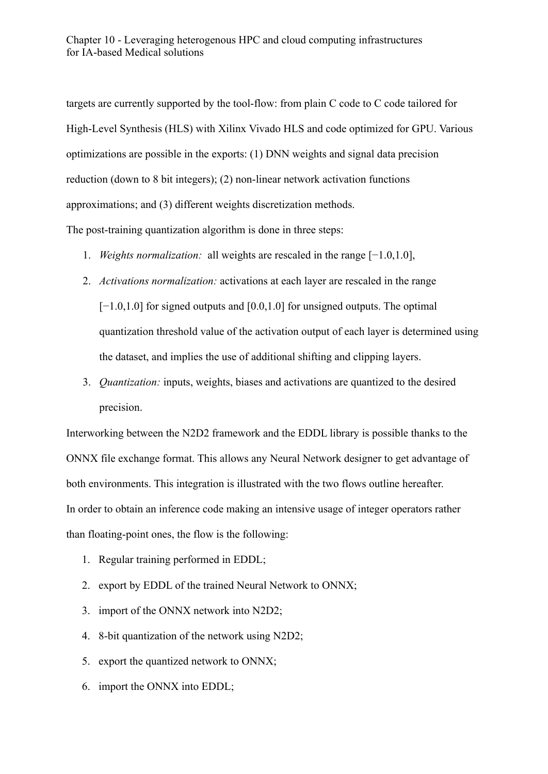targets are currently supported by the tool-flow: from plain C code to C code tailored for High-Level Synthesis (HLS) with Xilinx Vivado HLS and code optimized for GPU. Various optimizations are possible in the exports: (1) DNN weights and signal data precision reduction (down to 8 bit integers); (2) non-linear network activation functions approximations; and (3) different weights discretization methods.

The post-training quantization algorithm is done in three steps:

- 1. *Weights normalization:* all weights are rescaled in the range [−1.0,1.0],
- 2. *Activations normalization:* activations at each layer are rescaled in the range [−1.0,1.0] for signed outputs and [0.0,1.0] for unsigned outputs. The optimal quantization threshold value of the activation output of each layer is determined using the dataset, and implies the use of additional shifting and clipping layers.
- 3. *Quantization:* inputs, weights, biases and activations are quantized to the desired precision.

Interworking between the N2D2 framework and the EDDL library is possible thanks to the ONNX file exchange format. This allows any Neural Network designer to get advantage of both environments. This integration is illustrated with the two flows outline hereafter. In order to obtain an inference code making an intensive usage of integer operators rather than floating-point ones, the flow is the following:

- 1. Regular training performed in EDDL;
- 2. export by EDDL of the trained Neural Network to ONNX;
- 3. import of the ONNX network into N2D2;
- 4. 8-bit quantization of the network using N2D2;
- 5. export the quantized network to ONNX;
- 6. import the ONNX into EDDL;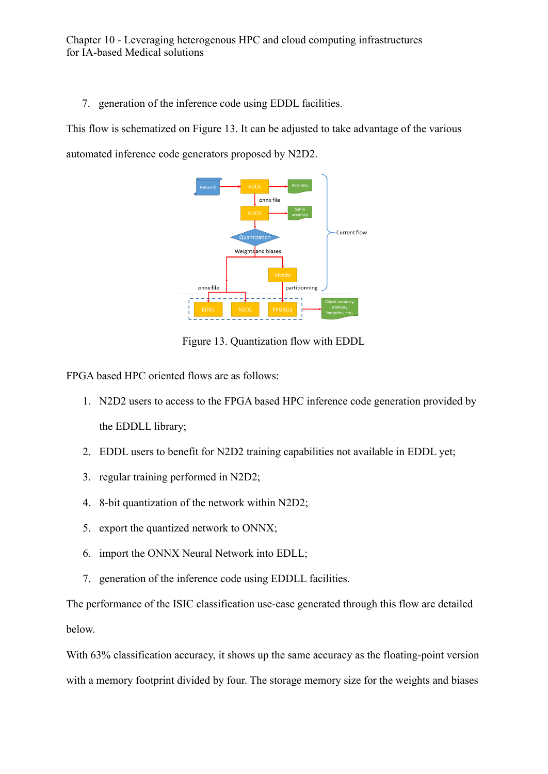7. generation of the inference code using EDDL facilities.

This flow is schematized on Figure 13. It can be adjusted to take advantage of the various

automated inference code generators proposed by N2D2.



Figure 13. Quantization flow with EDDL

FPGA based HPC oriented flows are as follows:

- 1. N2D2 users to access to the FPGA based HPC inference code generation provided by the EDDLL library;
- 2. EDDL users to benefit for N2D2 training capabilities not available in EDDL yet;
- 3. regular training performed in N2D2;
- 4. 8-bit quantization of the network within N2D2;
- 5. export the quantized network to ONNX;
- 6. import the ONNX Neural Network into EDLL;
- 7. generation of the inference code using EDDLL facilities.

The performance of the ISIC classification use-case generated through this flow are detailed below.

With 63% classification accuracy, it shows up the same accuracy as the floating-point version with a memory footprint divided by four. The storage memory size for the weights and biases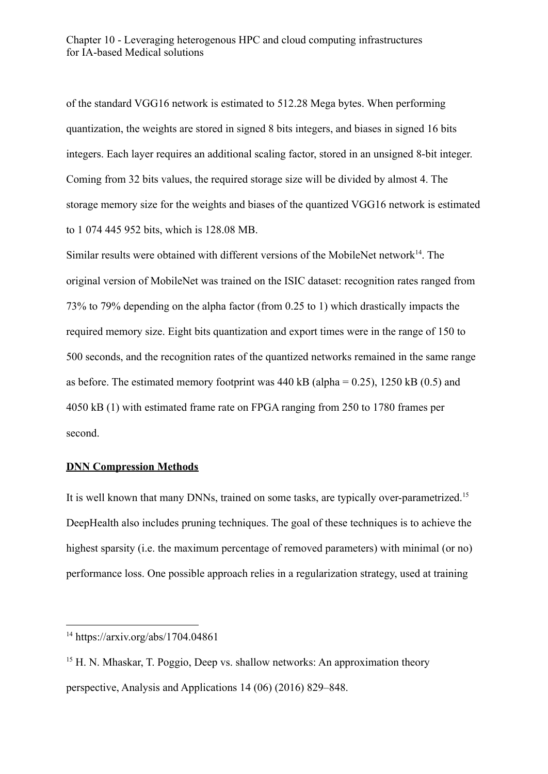of the standard VGG16 network is estimated to 512.28 Mega bytes. When performing quantization, the weights are stored in signed 8 bits integers, and biases in signed 16 bits integers. Each layer requires an additional scaling factor, stored in an unsigned 8-bit integer. Coming from 32 bits values, the required storage size will be divided by almost 4. The storage memory size for the weights and biases of the quantized VGG16 network is estimated to 1 074 445 952 bits, which is 128.08 MB.

Similar results were obtained with different versions of the MobileNet network $^{14}$ . The original version of MobileNet was trained on the ISIC dataset: recognition rates ranged from 73% to 79% depending on the alpha factor (from 0.25 to 1) which drastically impacts the required memory size. Eight bits quantization and export times were in the range of 150 to 500 seconds, and the recognition rates of the quantized networks remained in the same range as before. The estimated memory footprint was  $440$  kB (alpha = 0.25), 1250 kB (0.5) and 4050 kB (1) with estimated frame rate on FPGA ranging from 250 to 1780 frames per second.

#### **DNN Compression Methods**

It is well known that many DNNs, trained on some tasks, are typically over-parametrized.<sup>15</sup> DeepHealth also includes pruning techniques. The goal of these techniques is to achieve the highest sparsity (i.e. the maximum percentage of removed parameters) with minimal (or no) performance loss. One possible approach relies in a regularization strategy, used at training

<sup>14</sup> https://arxiv.org/abs/1704.04861

<sup>&</sup>lt;sup>15</sup> H. N. Mhaskar, T. Poggio, Deep vs. shallow networks: An approximation theory perspective, Analysis and Applications 14 (06) (2016) 829–848.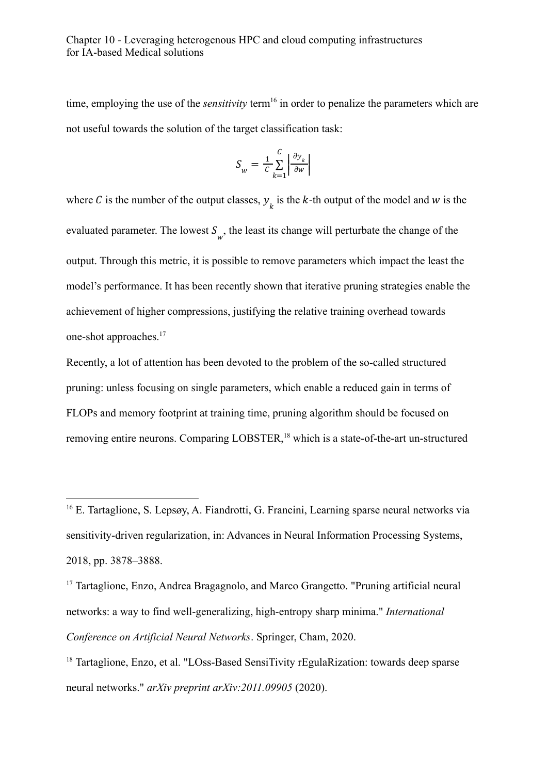time, employing the use of the *sensitivity* term<sup>16</sup> in order to penalize the parameters which are not useful towards the solution of the target classification task:

$$
S_w = \frac{1}{c} \sum_{k=1}^{c} \left| \frac{\partial y_k}{\partial w} \right|
$$

where C is the number of the output classes,  $y_k$  is the k-th output of the model and w is the evaluated parameter. The lowest  $S_{w}$ , the least its change will perturbate the change of the output. Through this metric, it is possible to remove parameters which impact the least the model's performance. It has been recently shown that iterative pruning strategies enable the achievement of higher compressions, justifying the relative training overhead towards one-shot approaches.<sup>17</sup>

Recently, a lot of attention has been devoted to the problem of the so-called structured pruning: unless focusing on single parameters, which enable a reduced gain in terms of FLOPs and memory footprint at training time, pruning algorithm should be focused on removing entire neurons. Comparing LOBSTER,<sup>18</sup> which is a state-of-the-art un-structured

<sup>&</sup>lt;sup>16</sup> E. Tartaglione, S. Lepsøy, A. Fiandrotti, G. Francini, Learning sparse neural networks via sensitivity-driven regularization, in: Advances in Neural Information Processing Systems, 2018, pp. 3878–3888.

<sup>&</sup>lt;sup>17</sup> Tartaglione, Enzo, Andrea Bragagnolo, and Marco Grangetto. "Pruning artificial neural networks: a way to find well-generalizing, high-entropy sharp minima." *International Conference on Artificial Neural Networks*. Springer, Cham, 2020.

<sup>&</sup>lt;sup>18</sup> Tartaglione, Enzo, et al. "LOss-Based SensiTivity rEgulaRization: towards deep sparse neural networks." *arXiv preprint arXiv:2011.09905* (2020).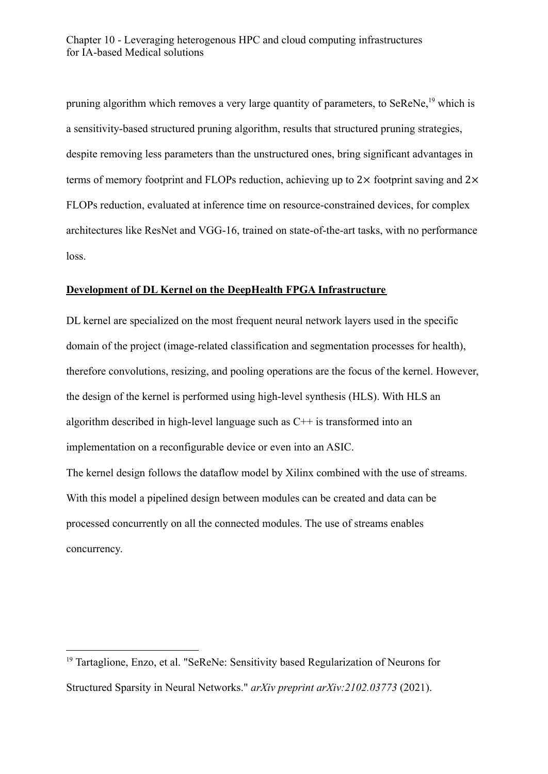pruning algorithm which removes a very large quantity of parameters, to SeReNe,<sup>19</sup> which is a sensitivity-based structured pruning algorithm, results that structured pruning strategies, despite removing less parameters than the unstructured ones, bring significant advantages in terms of memory footprint and FLOPs reduction, achieving up to  $2\times$  footprint saving and  $2\times$ FLOPs reduction, evaluated at inference time on resource-constrained devices, for complex architectures like ResNet and VGG-16, trained on state-of-the-art tasks, with no performance loss.

## **Development of DL Kernel on the DeepHealth FPGA Infrastructure**

DL kernel are specialized on the most frequent neural network layers used in the specific domain of the project (image-related classification and segmentation processes for health), therefore convolutions, resizing, and pooling operations are the focus of the kernel. However, the design of the kernel is performed using high-level synthesis (HLS). With HLS an algorithm described in high-level language such as C++ is transformed into an implementation on a reconfigurable device or even into an ASIC.

The kernel design follows the dataflow model by Xilinx combined with the use of streams. With this model a pipelined design between modules can be created and data can be processed concurrently on all the connected modules. The use of streams enables concurrency.

<sup>&</sup>lt;sup>19</sup> Tartaglione, Enzo, et al. "SeReNe: Sensitivity based Regularization of Neurons for Structured Sparsity in Neural Networks." *arXiv preprint arXiv:2102.03773* (2021).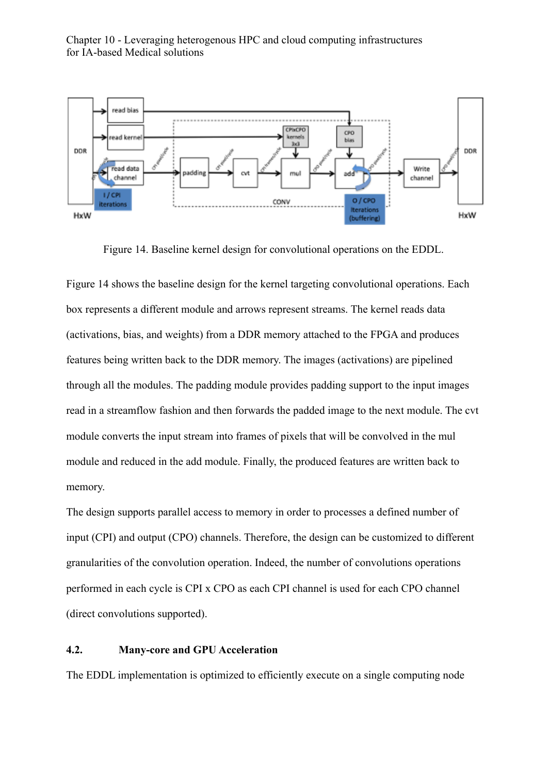

Figure 14. Baseline kernel design for convolutional operations on the EDDL.

Figure 14 shows the baseline design for the kernel targeting convolutional operations. Each box represents a different module and arrows represent streams. The kernel reads data (activations, bias, and weights) from a DDR memory attached to the FPGA and produces features being written back to the DDR memory. The images (activations) are pipelined through all the modules. The padding module provides padding support to the input images read in a streamflow fashion and then forwards the padded image to the next module. The cvt module converts the input stream into frames of pixels that will be convolved in the mul module and reduced in the add module. Finally, the produced features are written back to memory.

The design supports parallel access to memory in order to processes a defined number of input (CPI) and output (CPO) channels. Therefore, the design can be customized to different granularities of the convolution operation. Indeed, the number of convolutions operations performed in each cycle is CPI x CPO as each CPI channel is used for each CPO channel (direct convolutions supported).

#### **4.2. Many-core and GPU Acceleration**

The EDDL implementation is optimized to efficiently execute on a single computing node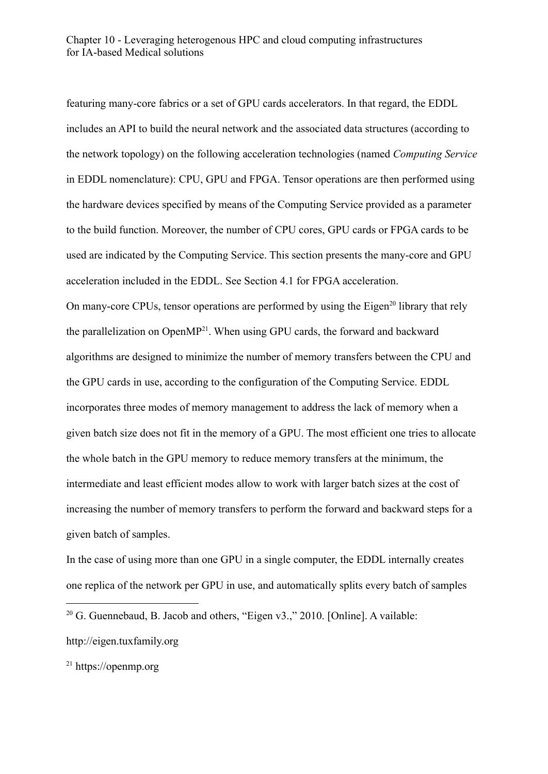featuring many-core fabrics or a set of GPU cards accelerators. In that regard, the EDDL includes an API to build the neural network and the associated data structures (according to the network topology) on the following acceleration technologies (named *Computing Service* in EDDL nomenclature): CPU, GPU and FPGA. Tensor operations are then performed using the hardware devices specified by means of the Computing Service provided as a parameter to the build function. Moreover, the number of CPU cores, GPU cards or FPGA cards to be used are indicated by the Computing Service. This section presents the many-core and GPU acceleration included in the EDDL. See Section 4.1 for FPGA acceleration. On many-core CPUs, tensor operations are performed by using the Eigen<sup>20</sup> library that rely the parallelization on OpenMP<sup>21</sup>. When using GPU cards, the forward and backward algorithms are designed to minimize the number of memory transfers between the CPU and the GPU cards in use, according to the configuration of the Computing Service. EDDL incorporates three modes of memory management to address the lack of memory when a given batch size does not fit in the memory of a GPU. The most efficient one tries to allocate the whole batch in the GPU memory to reduce memory transfers at the minimum, the intermediate and least efficient modes allow to work with larger batch sizes at the cost of increasing the number of memory transfers to perform the forward and backward steps for a given batch of samples.

In the case of using more than one GPU in a single computer, the EDDL internally creates one replica of the network per GPU in use, and automatically splits every batch of samples

 $20$  G. Guennebaud, B. Jacob and others, "Eigen v3.," 2010. [Online]. A vailable: http://eigen.tuxfamily.org

<sup>21</sup> https://openmp.org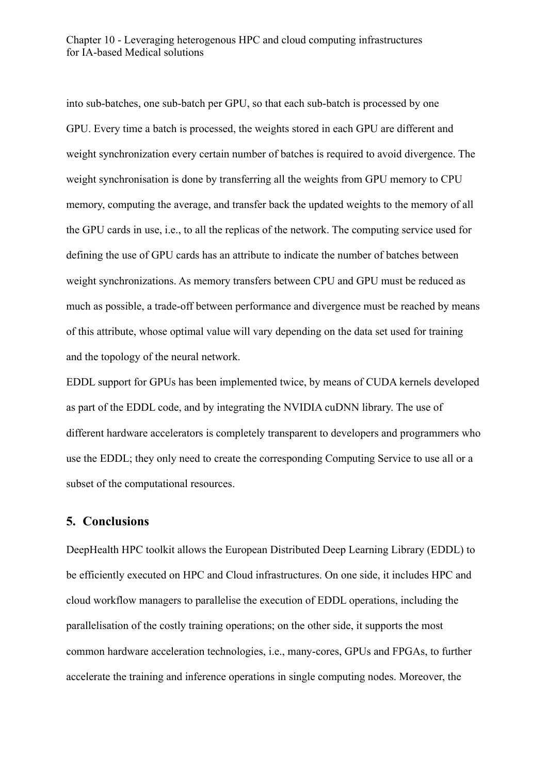into sub-batches, one sub-batch per GPU, so that each sub-batch is processed by one GPU. Every time a batch is processed, the weights stored in each GPU are different and weight synchronization every certain number of batches is required to avoid divergence. The weight synchronisation is done by transferring all the weights from GPU memory to CPU memory, computing the average, and transfer back the updated weights to the memory of all the GPU cards in use, i.e., to all the replicas of the network. The computing service used for defining the use of GPU cards has an attribute to indicate the number of batches between weight synchronizations. As memory transfers between CPU and GPU must be reduced as much as possible, a trade-off between performance and divergence must be reached by means of this attribute, whose optimal value will vary depending on the data set used for training and the topology of the neural network.

EDDL support for GPUs has been implemented twice, by means of CUDA kernels developed as part of the EDDL code, and by integrating the NVIDIA cuDNN library. The use of different hardware accelerators is completely transparent to developers and programmers who use the EDDL; they only need to create the corresponding Computing Service to use all or a subset of the computational resources.

# **5. Conclusions**

DeepHealth HPC toolkit allows the European Distributed Deep Learning Library (EDDL) to be efficiently executed on HPC and Cloud infrastructures. On one side, it includes HPC and cloud workflow managers to parallelise the execution of EDDL operations, including the parallelisation of the costly training operations; on the other side, it supports the most common hardware acceleration technologies, i.e., many-cores, GPUs and FPGAs, to further accelerate the training and inference operations in single computing nodes. Moreover, the